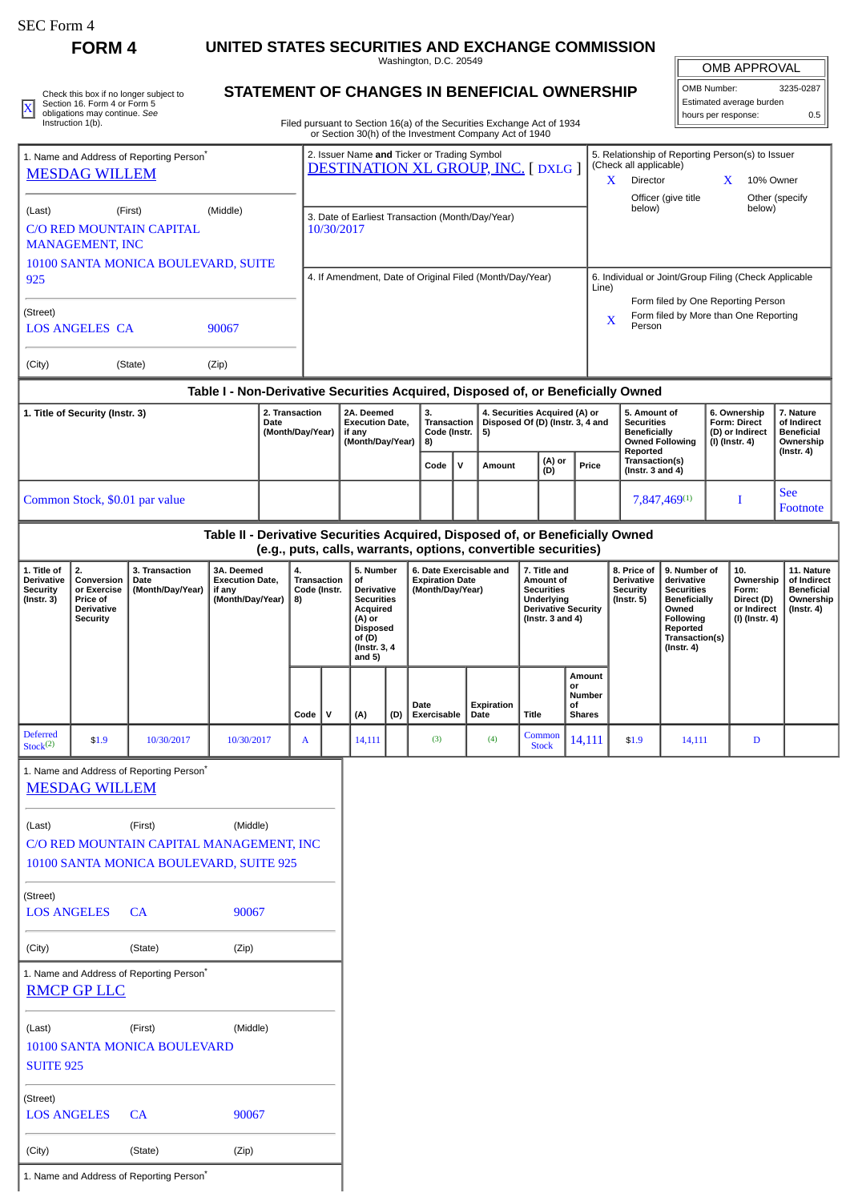# **FORM 4 UNITED STATES SECURITIES AND EXCHANGE COMMISSION**

Washington, D.C. 20549

| Check this box if no longer subject to<br>Section 16. Form 4 or Form 5 | STATEMENT OF CHANGES IN BENEFICIAL OWNERSHIP                           | II OMB Number:<br>l Estimated average burden | 3235-0287 |
|------------------------------------------------------------------------|------------------------------------------------------------------------|----------------------------------------------|-----------|
| obligations may continue. See<br>Instruction 1(b).                     | Filed pursuant to Section 16(a) of the Securities Exchange Act of 1934 | I hours per response:                        |           |
|                                                                        |                                                                        |                                              |           |

## **STATEMENT OF CHANGES IN BENEFICIAL OWNERSHIP**

Filed pursuant to Section 16(a) of the Securities Exchange Act of 1934 or Section 30(h) of the Investment Company Act of 1940

| OMB APPROVAL               |  |  |  |  |  |  |
|----------------------------|--|--|--|--|--|--|
| OMB Number:<br>3235-0287   |  |  |  |  |  |  |
| Estimated average burden   |  |  |  |  |  |  |
| hours per response:<br>0.5 |  |  |  |  |  |  |

| of Section Softh of the investment Company Act of 1940                           |                                                 |                                                                                         |                                                                            |                                                                                       |  |                          |  |  |  |
|----------------------------------------------------------------------------------|-------------------------------------------------|-----------------------------------------------------------------------------------------|----------------------------------------------------------------------------|---------------------------------------------------------------------------------------|--|--------------------------|--|--|--|
| 1. Name and Address of Reporting Person <sup>®</sup>                             |                                                 | 2. Issuer Name and Ticker or Trading Symbol<br><b>DESTINATION XL GROUP, INC. [DXLG]</b> | 5. Relationship of Reporting Person(s) to Issuer<br>(Check all applicable) |                                                                                       |  |                          |  |  |  |
| <b>MESDAG WILLEM</b>                                                             |                                                 |                                                                                         |                                                                            | Director                                                                              |  | 10% Owner                |  |  |  |
| (Last)<br>(First)<br><b>C/O RED MOUNTAIN CAPITAL</b><br><b>MANAGEMENT, INC</b>   | (Middle)<br>10100 SANTA MONICA BOULEVARD, SUITE | 3. Date of Earliest Transaction (Month/Day/Year)<br>10/30/2017                          |                                                                            | Officer (give title<br>below)                                                         |  | Other (specify<br>below) |  |  |  |
| 925                                                                              |                                                 | 4. If Amendment, Date of Original Filed (Month/Day/Year)                                | 6. Individual or Joint/Group Filing (Check Applicable<br>Line)             |                                                                                       |  |                          |  |  |  |
| (Street)<br><b>LOS ANGELES CA</b>                                                | 90067                                           |                                                                                         | X                                                                          | Form filed by One Reporting Person<br>Form filed by More than One Reporting<br>Person |  |                          |  |  |  |
| (City)<br>(State)                                                                | (Zip)                                           |                                                                                         |                                                                            |                                                                                       |  |                          |  |  |  |
| Table I - Non-Derivative Securities Acquired, Disposed of, or Beneficially Owned |                                                 |                                                                                         |                                                                            |                                                                                       |  |                          |  |  |  |

| 1. Title of Security (Instr. 3) | 2. Transaction<br>Date<br>(Month/Day/Year) | 2A. Deemed<br><b>Execution Date.</b><br>if anv<br>(Month/Dav/Year)   8) | З.<br>√ Transaction<br>Code (Instr. $ 5$ ) |              | 4. Securities Acquired (A) or<br>Disposed Of (D) (Instr. 3, 4 and |               |       | 5. Amount of<br><b>Securities</b><br><b>Beneficially</b><br>Owned Following | 6. Ownership<br>Form: Direct<br>(D) or Indirect<br>  (I) (Instr. 4) | '. Nature<br>of Indirect<br><b>Beneficial</b><br>Ownership |
|---------------------------------|--------------------------------------------|-------------------------------------------------------------------------|--------------------------------------------|--------------|-------------------------------------------------------------------|---------------|-------|-----------------------------------------------------------------------------|---------------------------------------------------------------------|------------------------------------------------------------|
|                                 |                                            |                                                                         | Code                                       | $\mathbf{v}$ | Amount                                                            | (A) or<br>(D) | Price | Reported<br>Transaction(s)<br>( $Instr. 3 and 4$ )                          |                                                                     | (Instr. 4)                                                 |
| Common Stock, \$0.01 par value  |                                            |                                                                         |                                            |              |                                                                   |               |       | 7,847,469(1)                                                                |                                                                     | <b>See</b><br>Footnote                                     |

## **Table II - Derivative Securities Acquired, Disposed of, or Beneficially Owned (e.g., puts, calls, warrants, options, convertible securities)**

| 1. Title of<br><b>Derivative</b><br><b>Security</b><br>$($ Instr. 3 $)$ | 2.<br>Conversion<br>or Exercise<br>Price of<br><b>Derivative</b><br>Security | 3. Transaction<br>Date<br>(Month/Day/Year) | 3A. Deemed<br><b>Execution Date.</b><br>if any<br>(Month/Day/Year) | 5. Number<br>4.<br>Transaction<br>οf<br>Code (Instr.<br><b>Derivative</b><br><b>Securities</b><br>8)<br>Acquired<br>(A) or<br><b>Disposed</b><br>of (D)<br>(Instr. 3, 4)<br>and 5) |             |        |     | 6. Date Exercisable and<br><b>Expiration Date</b><br>(Month/Day/Year) |                    |                        |                                                      | 7. Title and<br>Amount of<br><b>Securities</b><br><b>Underlying</b><br><b>Derivative Security</b><br>(Instr. $3$ and $4$ ) |        | 8. Price of<br><b>Derivative</b><br>Security<br>(Instr. 5) | 9. Number of<br>derivative<br><b>Securities</b><br>Beneficially<br>Owned<br>Following<br>Reported<br>Transaction(s)<br>(Instr. 4) | 10.<br>Ownership<br>Form:<br>Direct (D)<br>or Indirect<br>(I) (Instr. 4) | 11. Nature<br>of Indirect<br><b>Beneficial</b><br>Ownership<br>(Instr. 4) |
|-------------------------------------------------------------------------|------------------------------------------------------------------------------|--------------------------------------------|--------------------------------------------------------------------|------------------------------------------------------------------------------------------------------------------------------------------------------------------------------------|-------------|--------|-----|-----------------------------------------------------------------------|--------------------|------------------------|------------------------------------------------------|----------------------------------------------------------------------------------------------------------------------------|--------|------------------------------------------------------------|-----------------------------------------------------------------------------------------------------------------------------------|--------------------------------------------------------------------------|---------------------------------------------------------------------------|
|                                                                         |                                                                              |                                            |                                                                    | Code                                                                                                                                                                               | $\mathbf v$ | (A)    | (D) | Date<br>Exercisable                                                   | Expiration<br>Date | Title                  | Amount<br>or<br>Number<br><b>of</b><br><b>Shares</b> |                                                                                                                            |        |                                                            |                                                                                                                                   |                                                                          |                                                                           |
| <b>Deferred</b><br>Stock <sup>(2)</sup>                                 | \$1.9                                                                        | 10/30/2017                                 | 10/30/2017                                                         | A                                                                                                                                                                                  |             | 14,111 |     | (3)                                                                   | (4)                | Common<br><b>Stock</b> | 14,111                                               | \$1.9                                                                                                                      | 14,111 | D                                                          |                                                                                                                                   |                                                                          |                                                                           |

1. Name and Address of Reporting Person\*

| <u>MESDAG WILLEM</u>                                                |                                         |          |  |  |  |  |  |  |  |
|---------------------------------------------------------------------|-----------------------------------------|----------|--|--|--|--|--|--|--|
| (Last)                                                              | (First)                                 | (Middle) |  |  |  |  |  |  |  |
| C/O RED MOUNTAIN CAPITAL MANAGEMENT, INC                            |                                         |          |  |  |  |  |  |  |  |
|                                                                     | 10100 SANTA MONICA BOULEVARD, SUITE 925 |          |  |  |  |  |  |  |  |
| (Street)                                                            |                                         |          |  |  |  |  |  |  |  |
| LOS ANGELES CA                                                      |                                         | 90067    |  |  |  |  |  |  |  |
|                                                                     |                                         |          |  |  |  |  |  |  |  |
| (City)                                                              | (State)                                 | (Zip)    |  |  |  |  |  |  |  |
| 1. Name and Address of Reporting Person <sup>®</sup><br>RMCP GP LLC |                                         |          |  |  |  |  |  |  |  |
| (Last)                                                              | (First)                                 | (Middle) |  |  |  |  |  |  |  |
|                                                                     | <b>10100 SANTA MONICA BOULEVARD</b>     |          |  |  |  |  |  |  |  |
| <b>SUITE 925</b>                                                    |                                         |          |  |  |  |  |  |  |  |
| (Street)                                                            |                                         |          |  |  |  |  |  |  |  |
| <b>LOS ANGELES</b>                                                  | CA                                      | 90067    |  |  |  |  |  |  |  |
| (City)                                                              | (State)                                 | (Zip)    |  |  |  |  |  |  |  |
|                                                                     |                                         |          |  |  |  |  |  |  |  |

1. Name and Address of Reporting Person\*